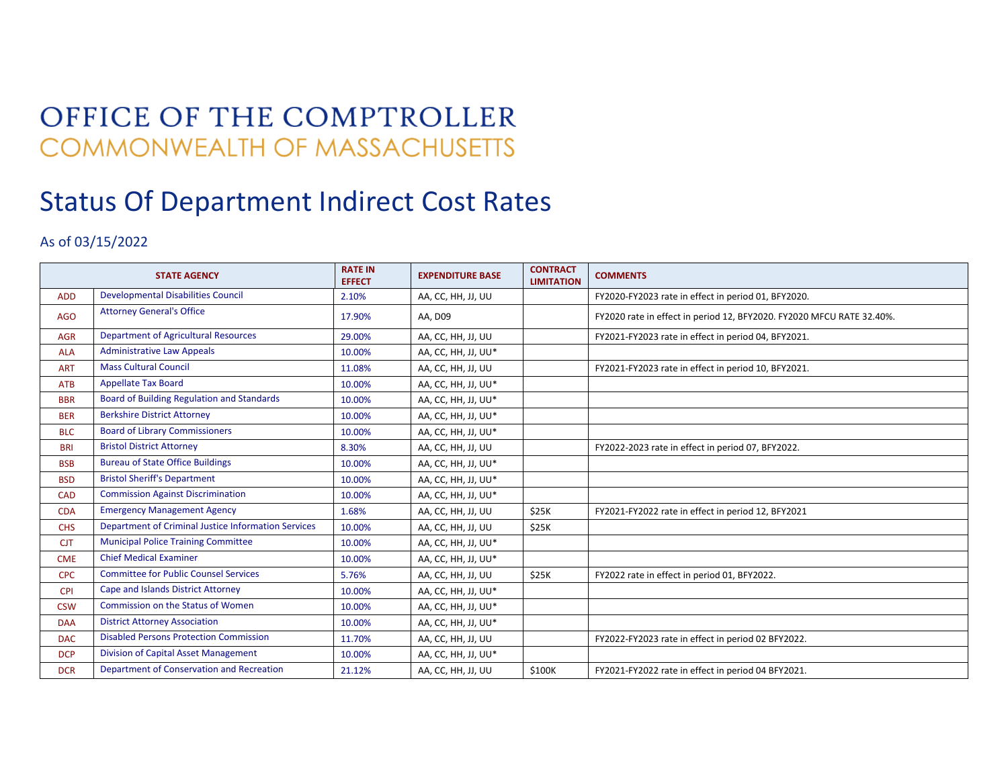## OFFICE OF THE COMPTROLLER **COMMONWEALTH OF MASSACHUSETTS**

## Status Of Department Indirect Cost Rates

## As of 03/15/2022

| <b>STATE AGENCY</b> |                                                     | <b>RATE IN</b><br><b>EFFECT</b> | <b>EXPENDITURE BASE</b> | <b>CONTRACT</b><br><b>LIMITATION</b> | <b>COMMENTS</b>                                                       |
|---------------------|-----------------------------------------------------|---------------------------------|-------------------------|--------------------------------------|-----------------------------------------------------------------------|
| <b>ADD</b>          | <b>Developmental Disabilities Council</b>           | 2.10%                           | AA, CC, HH, JJ, UU      |                                      | FY2020-FY2023 rate in effect in period 01, BFY2020.                   |
| AGO                 | <b>Attorney General's Office</b>                    | 17.90%                          | AA, D09                 |                                      | FY2020 rate in effect in period 12, BFY2020. FY2020 MFCU RATE 32.40%. |
| <b>AGR</b>          | <b>Department of Agricultural Resources</b>         | 29.00%                          | AA, CC, HH, JJ, UU      |                                      | FY2021-FY2023 rate in effect in period 04, BFY2021.                   |
| <b>ALA</b>          | <b>Administrative Law Appeals</b>                   | 10.00%                          | AA, CC, HH, JJ, UU*     |                                      |                                                                       |
| <b>ART</b>          | <b>Mass Cultural Council</b>                        | 11.08%                          | AA, CC, HH, JJ, UU      |                                      | FY2021-FY2023 rate in effect in period 10, BFY2021.                   |
| <b>ATB</b>          | <b>Appellate Tax Board</b>                          | 10.00%                          | AA, CC, HH, JJ, UU*     |                                      |                                                                       |
| <b>BBR</b>          | Board of Building Regulation and Standards          | 10.00%                          | AA, CC, HH, JJ, UU*     |                                      |                                                                       |
| <b>BER</b>          | <b>Berkshire District Attorney</b>                  | 10.00%                          | AA, CC, HH, JJ, UU*     |                                      |                                                                       |
| <b>BLC</b>          | <b>Board of Library Commissioners</b>               | 10.00%                          | AA, CC, HH, JJ, UU*     |                                      |                                                                       |
| <b>BRI</b>          | <b>Bristol District Attorney</b>                    | 8.30%                           | AA, CC, HH, JJ, UU      |                                      | FY2022-2023 rate in effect in period 07, BFY2022.                     |
| <b>BSB</b>          | <b>Bureau of State Office Buildings</b>             | 10.00%                          | AA, CC, HH, JJ, UU*     |                                      |                                                                       |
| <b>BSD</b>          | <b>Bristol Sheriff's Department</b>                 | 10.00%                          | AA, CC, HH, JJ, UU*     |                                      |                                                                       |
| <b>CAD</b>          | <b>Commission Against Discrimination</b>            | 10.00%                          | AA, CC, HH, JJ, UU*     |                                      |                                                                       |
| <b>CDA</b>          | <b>Emergency Management Agency</b>                  | 1.68%                           | AA, CC, HH, JJ, UU      | \$25K                                | FY2021-FY2022 rate in effect in period 12, BFY2021                    |
| <b>CHS</b>          | Department of Criminal Justice Information Services | 10.00%                          | AA, CC, HH, JJ, UU      | \$25K                                |                                                                       |
| <b>CJT</b>          | <b>Municipal Police Training Committee</b>          | 10.00%                          | AA, CC, HH, JJ, UU*     |                                      |                                                                       |
| <b>CME</b>          | <b>Chief Medical Examiner</b>                       | 10.00%                          | AA, CC, HH, JJ, UU*     |                                      |                                                                       |
| <b>CPC</b>          | <b>Committee for Public Counsel Services</b>        | 5.76%                           | AA, CC, HH, JJ, UU      | \$25K                                | FY2022 rate in effect in period 01, BFY2022.                          |
| <b>CPI</b>          | Cape and Islands District Attorney                  | 10.00%                          | AA, CC, HH, JJ, UU*     |                                      |                                                                       |
| <b>CSW</b>          | <b>Commission on the Status of Women</b>            | 10.00%                          | AA, CC, HH, JJ, UU*     |                                      |                                                                       |
| <b>DAA</b>          | <b>District Attorney Association</b>                | 10.00%                          | AA, CC, HH, JJ, UU*     |                                      |                                                                       |
| <b>DAC</b>          | <b>Disabled Persons Protection Commission</b>       | 11.70%                          | AA, CC, HH, JJ, UU      |                                      | FY2022-FY2023 rate in effect in period 02 BFY2022.                    |
| <b>DCP</b>          | Division of Capital Asset Management                | 10.00%                          | AA, CC, HH, JJ, UU*     |                                      |                                                                       |
| <b>DCR</b>          | Department of Conservation and Recreation           | 21.12%                          | AA, CC, HH, JJ, UU      | \$100K                               | FY2021-FY2022 rate in effect in period 04 BFY2021.                    |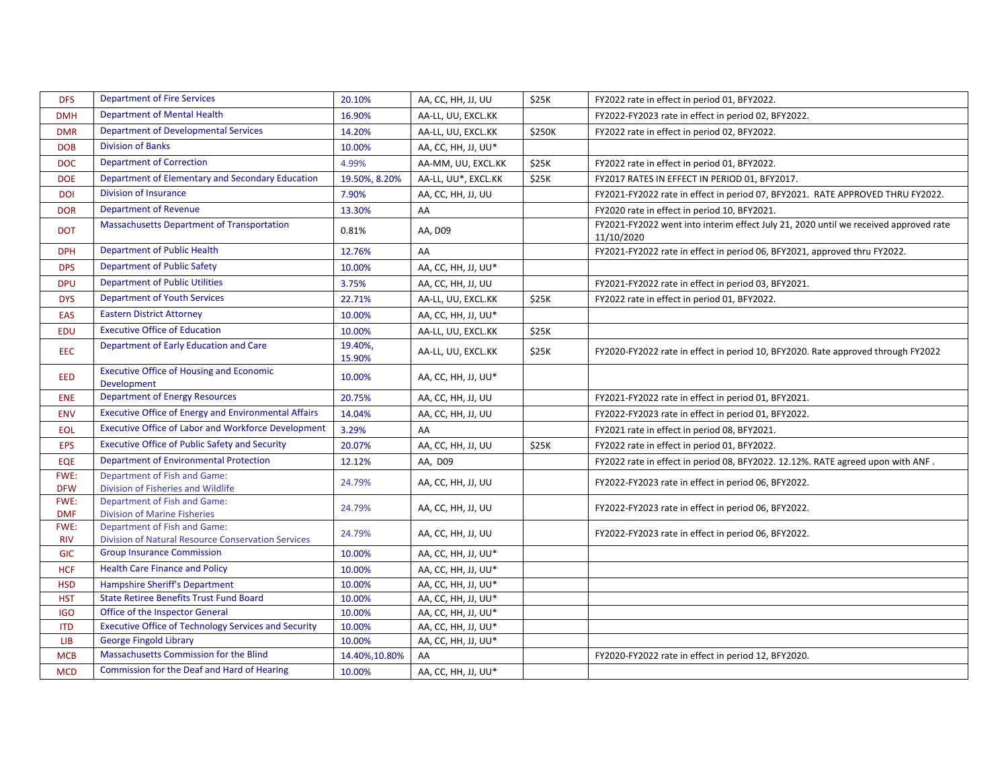| <b>DFS</b>         | <b>Department of Fire Services</b>                                                        | 20.10%            | AA, CC, HH, JJ, UU  | \$25K  | FY2022 rate in effect in period 01, BFY2022.                                                       |
|--------------------|-------------------------------------------------------------------------------------------|-------------------|---------------------|--------|----------------------------------------------------------------------------------------------------|
| <b>DMH</b>         | <b>Department of Mental Health</b>                                                        | 16.90%            | AA-LL, UU, EXCL.KK  |        | FY2022-FY2023 rate in effect in period 02, BFY2022.                                                |
| <b>DMR</b>         | <b>Department of Developmental Services</b>                                               | 14.20%            | AA-LL, UU, EXCL.KK  | \$250K | FY2022 rate in effect in period 02, BFY2022.                                                       |
| <b>DOB</b>         | <b>Division of Banks</b>                                                                  | 10.00%            | AA, CC, HH, JJ, UU* |        |                                                                                                    |
| <b>DOC</b>         | <b>Department of Correction</b>                                                           | 4.99%             | AA-MM, UU, EXCL.KK  | \$25K  | FY2022 rate in effect in period 01, BFY2022.                                                       |
| <b>DOE</b>         | Department of Elementary and Secondary Education                                          | 19.50%, 8.20%     | AA-LL, UU*, EXCL.KK | \$25K  | FY2017 RATES IN EFFECT IN PERIOD 01, BFY2017.                                                      |
| <b>DOI</b>         | <b>Division of Insurance</b>                                                              | 7.90%             | AA, CC, HH, JJ, UU  |        | FY2021-FY2022 rate in effect in period 07, BFY2021. RATE APPROVED THRU FY2022.                     |
| <b>DOR</b>         | <b>Department of Revenue</b>                                                              | 13.30%            | AA                  |        | FY2020 rate in effect in period 10, BFY2021.                                                       |
| <b>DOT</b>         | Massachusetts Department of Transportation                                                | 0.81%             | AA, D09             |        | FY2021-FY2022 went into interim effect July 21, 2020 until we received approved rate<br>11/10/2020 |
| <b>DPH</b>         | Department of Public Health                                                               | 12.76%            | AA                  |        | FY2021-FY2022 rate in effect in period 06, BFY2021, approved thru FY2022.                          |
| <b>DPS</b>         | <b>Department of Public Safety</b>                                                        | 10.00%            | AA, CC, HH, JJ, UU* |        |                                                                                                    |
| <b>DPU</b>         | <b>Department of Public Utilities</b>                                                     | 3.75%             | AA, CC, HH, JJ, UU  |        | FY2021-FY2022 rate in effect in period 03, BFY2021.                                                |
| <b>DYS</b>         | <b>Department of Youth Services</b>                                                       | 22.71%            | AA-LL, UU, EXCL.KK  | \$25K  | FY2022 rate in effect in period 01, BFY2022.                                                       |
| EAS                | <b>Eastern District Attorney</b>                                                          | 10.00%            | AA, CC, HH, JJ, UU* |        |                                                                                                    |
| <b>EDU</b>         | <b>Executive Office of Education</b>                                                      | 10.00%            | AA-LL, UU, EXCL.KK  | \$25K  |                                                                                                    |
| <b>EEC</b>         | Department of Early Education and Care                                                    | 19.40%,<br>15.90% | AA-LL, UU, EXCL.KK  | \$25K  | FY2020-FY2022 rate in effect in period 10, BFY2020. Rate approved through FY2022                   |
| <b>EED</b>         | <b>Executive Office of Housing and Economic</b><br>Development                            | 10.00%            | AA, CC, HH, JJ, UU* |        |                                                                                                    |
| <b>ENE</b>         | <b>Department of Energy Resources</b>                                                     | 20.75%            | AA, CC, HH, JJ, UU  |        | FY2021-FY2022 rate in effect in period 01, BFY2021.                                                |
| <b>ENV</b>         | <b>Executive Office of Energy and Environmental Affairs</b>                               | 14.04%            | AA, CC, HH, JJ, UU  |        | FY2022-FY2023 rate in effect in period 01, BFY2022.                                                |
| <b>EOL</b>         | <b>Executive Office of Labor and Workforce Development</b>                                | 3.29%             | AA                  |        | FY2021 rate in effect in period 08, BFY2021.                                                       |
| <b>EPS</b>         | <b>Executive Office of Public Safety and Security</b>                                     | 20.07%            | AA, CC, HH, JJ, UU  | \$25K  | FY2022 rate in effect in period 01, BFY2022.                                                       |
| EQE                | <b>Department of Environmental Protection</b>                                             | 12.12%            | AA, D09             |        | FY2022 rate in effect in period 08, BFY2022. 12.12%. RATE agreed upon with ANF.                    |
| FWE:<br><b>DFW</b> | Department of Fish and Game:<br>Division of Fisheries and Wildlife                        | 24.79%            | AA, CC, HH, JJ, UU  |        | FY2022-FY2023 rate in effect in period 06, BFY2022.                                                |
| FWE:<br><b>DMF</b> | Department of Fish and Game:<br><b>Division of Marine Fisheries</b>                       | 24.79%            | AA, CC, HH, JJ, UU  |        | FY2022-FY2023 rate in effect in period 06, BFY2022.                                                |
| FWE:<br><b>RIV</b> | Department of Fish and Game:<br><b>Division of Natural Resource Conservation Services</b> | 24.79%            | AA, CC, HH, JJ, UU  |        | FY2022-FY2023 rate in effect in period 06, BFY2022.                                                |
| <b>GIC</b>         | <b>Group Insurance Commission</b>                                                         | 10.00%            | AA, CC, HH, JJ, UU* |        |                                                                                                    |
| <b>HCF</b>         | <b>Health Care Finance and Policy</b>                                                     | 10.00%            | AA, CC, HH, JJ, UU* |        |                                                                                                    |
| <b>HSD</b>         | Hampshire Sheriff's Department                                                            | 10.00%            | AA, CC, HH, JJ, UU* |        |                                                                                                    |
| <b>HST</b>         | <b>State Retiree Benefits Trust Fund Board</b>                                            | 10.00%            | AA, CC, HH, JJ, UU* |        |                                                                                                    |
| <b>IGO</b>         | Office of the Inspector General                                                           | 10.00%            | AA, CC, HH, JJ, UU* |        |                                                                                                    |
| <b>ITD</b>         | <b>Executive Office of Technology Services and Security</b>                               | 10.00%            | AA, CC, HH, JJ, UU* |        |                                                                                                    |
| <b>LIB</b>         | <b>George Fingold Library</b>                                                             | 10.00%            | AA, CC, HH, JJ, UU* |        |                                                                                                    |
| <b>MCB</b>         | Massachusetts Commission for the Blind                                                    | 14.40%,10.80%     | AA                  |        | FY2020-FY2022 rate in effect in period 12, BFY2020.                                                |
| <b>MCD</b>         | Commission for the Deaf and Hard of Hearing                                               | 10.00%            | AA, CC, HH, JJ, UU* |        |                                                                                                    |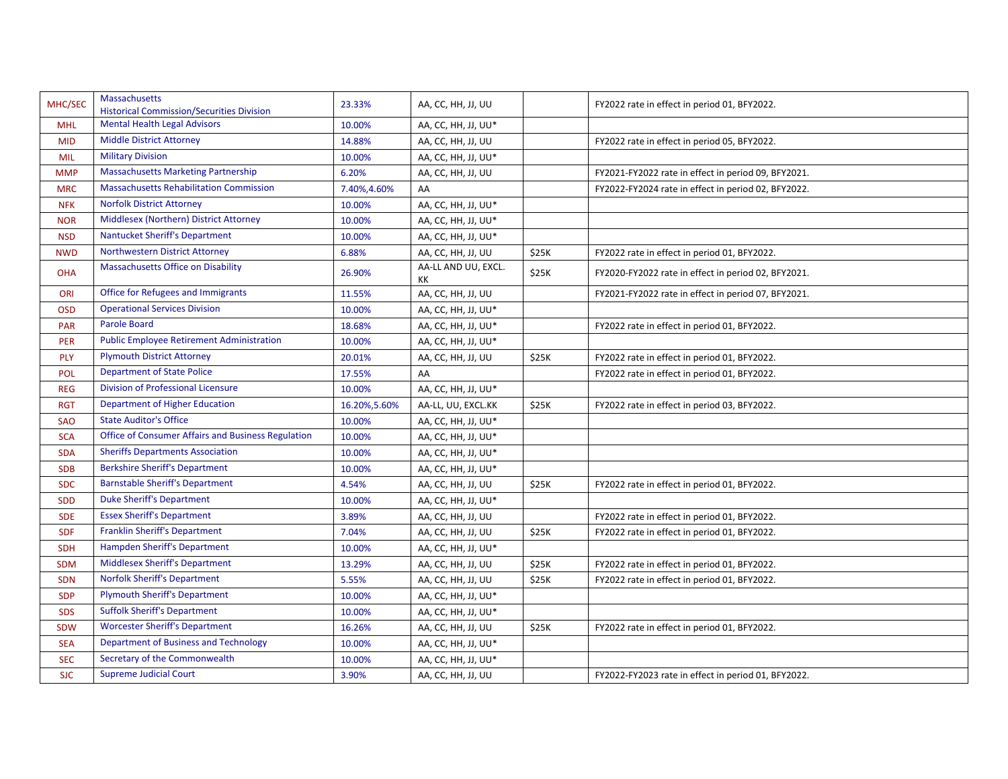| MHC/SEC    | Massachusetts<br><b>Historical Commission/Securities Division</b> | 23.33%        | AA, CC, HH, JJ, UU        |       | FY2022 rate in effect in period 01, BFY2022.        |
|------------|-------------------------------------------------------------------|---------------|---------------------------|-------|-----------------------------------------------------|
| <b>MHL</b> | <b>Mental Health Legal Advisors</b>                               | 10.00%        | AA, CC, HH, JJ, UU*       |       |                                                     |
| <b>MID</b> | <b>Middle District Attorney</b>                                   | 14.88%        | AA, CC, HH, JJ, UU        |       | FY2022 rate in effect in period 05, BFY2022.        |
| <b>MIL</b> | <b>Military Division</b>                                          | 10.00%        | AA, CC, HH, JJ, UU*       |       |                                                     |
| <b>MMP</b> | <b>Massachusetts Marketing Partnership</b>                        | 6.20%         | AA, CC, HH, JJ, UU        |       | FY2021-FY2022 rate in effect in period 09, BFY2021. |
| <b>MRC</b> | <b>Massachusetts Rehabilitation Commission</b>                    | 7.40%,4.60%   | AA                        |       | FY2022-FY2024 rate in effect in period 02, BFY2022. |
| <b>NFK</b> | <b>Norfolk District Attorney</b>                                  | 10.00%        | AA, CC, HH, JJ, UU*       |       |                                                     |
| <b>NOR</b> | Middlesex (Northern) District Attorney                            | 10.00%        | AA, CC, HH, JJ, UU*       |       |                                                     |
| <b>NSD</b> | <b>Nantucket Sheriff's Department</b>                             | 10.00%        | AA, CC, HH, JJ, UU*       |       |                                                     |
| <b>NWD</b> | Northwestern District Attorney                                    | 6.88%         | AA, CC, HH, JJ, UU        | \$25K | FY2022 rate in effect in period 01, BFY2022.        |
| <b>OHA</b> | Massachusetts Office on Disability                                | 26.90%        | AA-LL AND UU, EXCL.<br>КK | \$25K | FY2020-FY2022 rate in effect in period 02, BFY2021. |
| ORI        | Office for Refugees and Immigrants                                | 11.55%        | AA, CC, HH, JJ, UU        |       | FY2021-FY2022 rate in effect in period 07, BFY2021. |
| <b>OSD</b> | <b>Operational Services Division</b>                              | 10.00%        | AA, CC, HH, JJ, UU*       |       |                                                     |
| <b>PAR</b> | <b>Parole Board</b>                                               | 18.68%        | AA, CC, HH, JJ, UU*       |       | FY2022 rate in effect in period 01, BFY2022.        |
| <b>PER</b> | <b>Public Employee Retirement Administration</b>                  | 10.00%        | AA, CC, HH, JJ, UU*       |       |                                                     |
| PLY        | <b>Plymouth District Attorney</b>                                 | 20.01%        | AA, CC, HH, JJ, UU        | \$25K | FY2022 rate in effect in period 01, BFY2022.        |
| POL        | <b>Department of State Police</b>                                 | 17.55%        | AA                        |       | FY2022 rate in effect in period 01, BFY2022.        |
| <b>REG</b> | Division of Professional Licensure                                | 10.00%        | AA, CC, HH, JJ, UU*       |       |                                                     |
| <b>RGT</b> | <b>Department of Higher Education</b>                             | 16.20%, 5.60% | AA-LL, UU, EXCL.KK        | \$25K | FY2022 rate in effect in period 03, BFY2022.        |
| <b>SAO</b> | <b>State Auditor's Office</b>                                     | 10.00%        | AA, CC, HH, JJ, UU*       |       |                                                     |
| <b>SCA</b> | Office of Consumer Affairs and Business Regulation                | 10.00%        | AA, CC, HH, JJ, UU*       |       |                                                     |
| <b>SDA</b> | <b>Sheriffs Departments Association</b>                           | 10.00%        | AA, CC, HH, JJ, UU*       |       |                                                     |
| <b>SDB</b> | <b>Berkshire Sheriff's Department</b>                             | 10.00%        | AA, CC, HH, JJ, UU*       |       |                                                     |
| <b>SDC</b> | <b>Barnstable Sheriff's Department</b>                            | 4.54%         | AA, CC, HH, JJ, UU        | \$25K | FY2022 rate in effect in period 01, BFY2022.        |
| <b>SDD</b> | <b>Duke Sheriff's Department</b>                                  | 10.00%        | AA, CC, HH, JJ, UU*       |       |                                                     |
| <b>SDE</b> | <b>Essex Sheriff's Department</b>                                 | 3.89%         | AA, CC, HH, JJ, UU        |       | FY2022 rate in effect in period 01, BFY2022.        |
| <b>SDF</b> | <b>Franklin Sheriff's Department</b>                              | 7.04%         | AA, CC, HH, JJ, UU        | \$25K | FY2022 rate in effect in period 01, BFY2022.        |
| <b>SDH</b> | Hampden Sheriff's Department                                      | 10.00%        | AA, CC, HH, JJ, UU*       |       |                                                     |
| <b>SDM</b> | <b>Middlesex Sheriff's Department</b>                             | 13.29%        | AA, CC, HH, JJ, UU        | \$25K | FY2022 rate in effect in period 01, BFY2022.        |
| <b>SDN</b> | <b>Norfolk Sheriff's Department</b>                               | 5.55%         | AA, CC, HH, JJ, UU        | \$25K | FY2022 rate in effect in period 01, BFY2022.        |
| <b>SDP</b> | <b>Plymouth Sheriff's Department</b>                              | 10.00%        | AA, CC, HH, JJ, UU*       |       |                                                     |
| <b>SDS</b> | <b>Suffolk Sheriff's Department</b>                               | 10.00%        | AA, CC, HH, JJ, UU*       |       |                                                     |
| <b>SDW</b> | <b>Worcester Sheriff's Department</b>                             | 16.26%        | AA, CC, HH, JJ, UU        | \$25K | FY2022 rate in effect in period 01, BFY2022.        |
| <b>SEA</b> | Department of Business and Technology                             | 10.00%        | AA, CC, HH, JJ, UU*       |       |                                                     |
| <b>SEC</b> | Secretary of the Commonwealth                                     | 10.00%        | AA, CC, HH, JJ, UU*       |       |                                                     |
| <b>SJC</b> | <b>Supreme Judicial Court</b>                                     | 3.90%         | AA, CC, HH, JJ, UU        |       | FY2022-FY2023 rate in effect in period 01, BFY2022. |